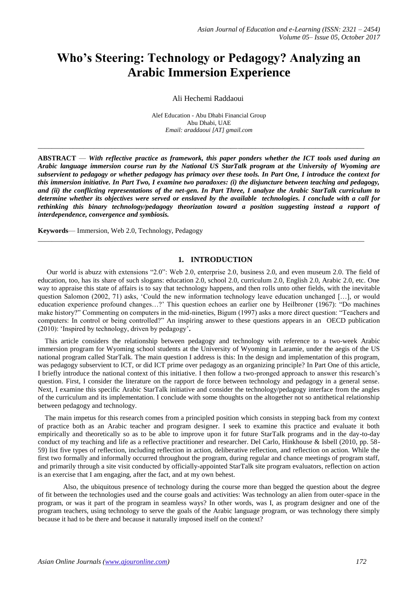# **Who's Steering: Technology or Pedagogy? Analyzing an Arabic Immersion Experience**

Ali Hechemi Raddaoui

Alef Education - Abu Dhabi Financial Group Abu Dhabi, UAE *Email: araddaoui [AT] gmail.com*

\_\_\_\_\_\_\_\_\_\_\_\_\_\_\_\_\_\_\_\_\_\_\_\_\_\_\_\_\_\_\_\_\_\_\_\_\_\_\_\_\_\_\_\_\_\_\_\_\_\_\_\_\_\_\_\_\_\_\_\_\_\_\_\_\_\_\_\_\_\_\_\_\_\_\_\_\_\_\_\_\_\_\_\_\_\_\_\_\_\_\_\_\_

**ABSTRACT** — *With reflective practice as framework, this paper ponders whether the ICT tools used during an Arabic language immersion course run by the National US StarTalk program at the University of Wyoming are subservient to pedagogy or whether pedagogy has primacy over these tools. In Part One, I introduce the context for this immersion initiative. In Part Two, I examine two paradoxes: (i) the disjuncture between teaching and pedagogy, and (ii) the conflicting representations of the net-gen. In Part Three, I analyze the Arabic StarTalk curriculum to determine whether its objectives were served or enslaved by the available technologies. I conclude with a call for rethinking this binary technology/pedagogy theorization toward a position suggesting instead a rapport of interdependence, convergence and symbiosis.* 

**Keywords**— Immersion, Web 2.0, Technology, Pedagogy

## **1. INTRODUCTION**

\_\_\_\_\_\_\_\_\_\_\_\_\_\_\_\_\_\_\_\_\_\_\_\_\_\_\_\_\_\_\_\_\_\_\_\_\_\_\_\_\_\_\_\_\_\_\_\_\_\_\_\_\_\_\_\_\_\_\_\_\_\_\_\_\_\_\_\_\_\_\_\_\_\_\_\_\_\_\_\_\_\_\_\_\_\_\_\_\_\_\_\_\_

 Our world is abuzz with extensions "2.0": Web 2.0, enterprise 2.0, business 2.0, and even museum 2.0. The field of education, too, has its share of such slogans: education 2.0, school 2.0, curriculum 2.0, English 2.0, Arabic 2.0, etc. One way to appraise this state of affairs is to say that technology happens, and then rolls unto other fields, with the inevitable question Salomon (2002, 71) asks, 'Could the new information technology leave education unchanged […], or would education experience profound changes…?' This question echoes an earlier one by Heilbroner (1967): "Do machines make history?" Commenting on computers in the mid-nineties, Bigum (1997) asks a more direct question: "Teachers and computers: In control or being controlled?" An inspiring answer to these questions appears in an OECD publication (2010): 'Inspired by technology, driven by pedagogy'**.** 

 This article considers the relationship between pedagogy and technology with reference to a two-week Arabic immersion program for Wyoming school students at the University of Wyoming in Laramie, under the aegis of the US national program called StarTalk. The main question I address is this: In the design and implementation of this program, was pedagogy subservient to ICT, or did ICT prime over pedagogy as an organizing principle? In Part One of this article, I briefly introduce the national context of this initiative. I then follow a two-pronged approach to answer this research's question. First, I consider the literature on the rapport de force between technology and pedagogy in a general sense. Next, I examine this specific Arabic StarTalk initiative and consider the technology/pedagogy interface from the angles of the curriculum and its implementation. I conclude with some thoughts on the altogether not so antithetical relationship between pedagogy and technology.

 The main impetus for this research comes from a principled position which consists in stepping back from my context of practice both as an Arabic teacher and program designer. I seek to examine this practice and evaluate it both empirically and theoretically so as to be able to improve upon it for future StarTalk programs and in the day-to-day conduct of my teaching and life as a reflective practitioner and researcher. Del Carlo, Hinkhouse & Isbell (2010, pp. 58- 59) list five types of reflection, including reflection in action, deliberative reflection, and reflection on action. While the first two formally and informally occurred throughout the program, during regular and chance meetings of program staff, and primarily through a site visit conducted by officially-appointed StarTalk site program evaluators, reflection on action is an exercise that I am engaging, after the fact, and at my own behest.

Also, the ubiquitous presence of technology during the course more than begged the question about the degree of fit between the technologies used and the course goals and activities: Was technology an alien from outer-space in the program, or was it part of the program in seamless ways? In other words, was I, as program designer and one of the program teachers, using technology to serve the goals of the Arabic language program, or was technology there simply because it had to be there and because it naturally imposed itself on the context?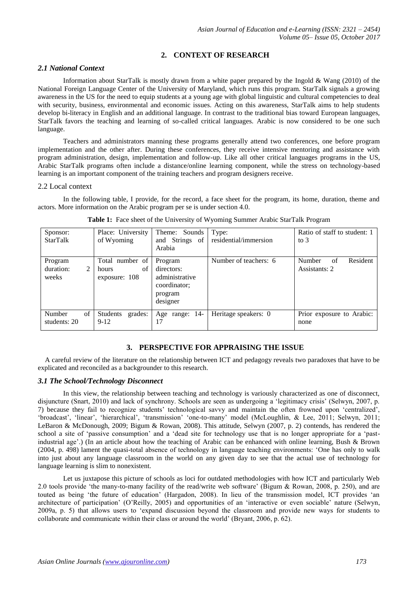# **2. CONTEXT OF RESEARCH**

# *2.1 National Context*

Information about StarTalk is mostly drawn from a white paper prepared by the Ingold & Wang (2010) of the National Foreign Language Center of the University of Maryland, which runs this program. StarTalk signals a growing awareness in the US for the need to equip students at a young age with global linguistic and cultural competencies to deal with security, business, environmental and economic issues. Acting on this awareness, StarTalk aims to help students develop bi-literacy in English and an additional language. In contrast to the traditional bias toward European languages, StarTalk favors the teaching and learning of so-called critical languages. Arabic is now considered to be one such language.

Teachers and administrators manning these programs generally attend two conferences, one before program implementation and the other after. During these conferences, they receive intensive mentoring and assistance with program administration, design, implementation and follow-up. Like all other critical languages programs in the US, Arabic StarTalk programs often include a distance/online learning component, while the stress on technology-based learning is an important component of the training teachers and program designers receive.

#### 2.2 Local context

In the following table, I provide, for the record, a face sheet for the program, its home, duration, theme and actors. More information on the Arabic program per se is under section 4.0.

| Sponsor:<br><b>StarTalk</b>        | Place: University<br>of Wyoming                 | Theme: Sounds<br>and Strings of<br>Arabia                                      | Type:<br>residential/immersion | Ratio of staff to student: 1<br>to $3$    |
|------------------------------------|-------------------------------------------------|--------------------------------------------------------------------------------|--------------------------------|-------------------------------------------|
| Program<br>duration:<br>2<br>weeks | Total number of<br>of<br>hours<br>exposure: 108 | Program<br>directors:<br>administrative<br>coordinator;<br>program<br>designer | Number of teachers: 6          | Resident<br>Number<br>of<br>Assistants: 2 |
| Number<br>of<br>students: 20       | grades:<br>Students<br>$9-12$                   | Age range: 14-<br>17                                                           | Heritage speakers: 0           | Prior exposure to Arabic:<br>none         |

**Table 1:** Face sheet of the University of Wyoming Summer Arabic StarTalk Program

# **3. PERSPECTIVE FOR APPRAISING THE ISSUE**

 A careful review of the literature on the relationship between ICT and pedagogy reveals two paradoxes that have to be explicated and reconciled as a backgrounder to this research.

#### *3.1 The School/Technology Disconnect*

In this view, the relationship between teaching and technology is variously characterized as one of disconnect, disjuncture (Snart, 2010) and lack of synchrony. Schools are seen as undergoing a 'legitimacy crisis' (Selwyn, 2007, p. 7) because they fail to recognize students' technological savvy and maintain the often frowned upon 'centralized', 'broadcast', 'linear', 'hierarchical', 'transmission' 'one-to-many' model (McLoughlin, & Lee, 2011; Selwyn, 2011; LeBaron & McDonough, 2009; Bigum & Rowan, 2008). This attitude, Selwyn (2007, p. 2) contends, has rendered the school a site of 'passive consumption' and a 'dead site for technology use that is no longer appropriate for a 'pastindustrial age'.) (In an article about how the teaching of Arabic can be enhanced with online learning, Bush & Brown (2004, p. 498) lament the quasi-total absence of technology in language teaching environments: 'One has only to walk into just about any language classroom in the world on any given day to see that the actual use of technology for language learning is slim to nonexistent.

Let us juxtapose this picture of schools as loci for outdated methodologies with how ICT and particularly Web 2.0 tools provide 'the many-to-many facility of the read/write web software' (Bigum & Rowan, 2008, p. 250), and are touted as being 'the future of education' (Hargadon, 2008). In lieu of the transmission model, ICT provides 'an architecture of participation' (O'Reilly, 2005) and opportunities of an 'interactive or even sociable' nature (Selwyn, 2009a, p. 5) that allows users to 'expand discussion beyond the classroom and provide new ways for students to collaborate and communicate within their class or around the world' (Bryant, 2006, p. 62).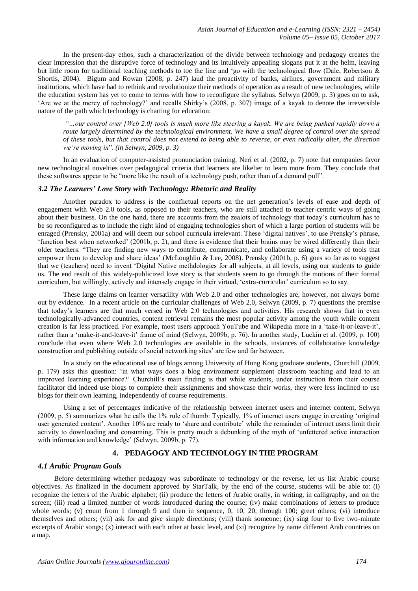In the present-day ethos, such a characterization of the divide between technology and pedagogy creates the clear impression that the disruptive force of technology and its intuitively appealing slogans put it at the helm, leaving but little room for traditional teaching methods to toe the line and 'go with the technological flow (Dale, Robertson & Shortis, 2004). Bigum and Rowan (2008, p. 247) laud the proactivity of banks, airlines, government and military institutions, which have had to rethink and revolutionize their methods of operation as a result of new technologies, while the education system has yet to come to terms with how to reconfigure the syllabus. Selwyn (2009, p. 3) goes on to ask, 'Are we at the mercy of technology?' and recalls Shirky's (2008, p. 307) image of a kayak to denote the irreversible nature of the path which technology is charting for education:

*"…our control over [Web 2.0] tools is much more like steering a kayak. We are being pushed rapidly down a route largely determined by the technological environment. We have a small degree of control over the spread of these tools, but that control does not extend to being able to reverse, or even radically alter, the direction we're moving in*". *(in Selwyn, 2009, p. 3)* 

In an evaluation of computer-assisted pronunciation training, Neri et al. (2002, p. 7) note that companies favor new technological novelties over pedagogical criteria that learners are likelier to learn more from. They conclude that these softwares appear to be "more like the result of a technology push, rather than of a demand pull".

#### *3.2 The Learners' Love Story with Technology: Rhetoric and Reality*

Another paradox to address is the conflictual reports on the net generation's levels of ease and depth of engagement with Web 2.0 tools, as opposed to their teachers, who are still attached to teacher-centric ways of going about their business. On the one hand, there are accounts from the zealots of technology that today's curriculum has to be so reconfigured as to include the right kind of engaging technologies short of which a large portion of students will be enraged (Prensky, 2001a) and will deem our school curricula irrelevant. These 'digital natives', to use Prensky's phrase, 'function best when networked' (2001b, p. 2), and there is evidence that their brains may be wired differently than their older teachers: "They are finding new ways to contribute, communicate, and collaborate using a variety of tools that empower them to develop and share ideas' (McLoughlin & Lee, 2008). Prensky (2001b, p. 6) goes so far as to suggest that we (teachers) need to invent 'Digital Native methdologies for all subjects, at all levels, using our students to guide us. The end result of this widely-publicized love story is that students seem to go through the motions of their formal curriculum, but willingly, actively and intensely engage in their virtual, 'extra-curricular' curriculum so to say.

These large claims on learner versatility with Web 2.0 and other technologies are, however, not always borne out by evidence. In a recent article on the curricular challenges of Web 2.0, Selwyn (2009, p. 7) questions the premise that today's learners are that much versed in Web 2.0 technologies and activities. His research shows that in even technologically-advanced countries, content retrieval remains the most popular activity among the youth while content creation is far less practiced. For example, most users approach YouTube and Wikipedia more in a 'take-it-or-leave-it', rather than a 'make-it-and-leave-it' frame of mind (Selwyn, 2009b, p. 76). In another study, Luckin et al. (2009, p. 100) conclude that even where Web 2.0 technologies are available in the schools, instances of collaborative knowledge construction and publishing outside of social networking sites' are few and far between.

In a study on the educational use of blogs among University of Hong Kong graduate students, Churchill (2009, p. 179) asks this question: 'in what ways does a blog environment supplement classroom teaching and lead to an improved learning experience?' Churchill's main finding is that while students, under instruction from their course facilitator did indeed use blogs to complete their assignments and showcase their works, they were less inclined to use blogs for their own learning, independently of course requirements.

Using a set of percentages indicative of the relationship between internet users and internet content, Selwyn (2009, p. 5) summarizes what he calls the 1% rule of thumb: Typically, 1% of internet users engage in creating 'original user generated content'. Another 10% are ready to 'share and contribute' while the remainder of internet users limit their activity to downloading and consuming. This is pretty much a debunking of the myth of 'unfettered active interaction with information and knowledge' (Selwyn, 2009b, p. 77).

## **4. PEDAGOGY AND TECHNOLOGY IN THE PROGRAM**

#### *4.1 Arabic Program Goals*

Before determining whether pedagogy was subordinate to technology or the reverse, let us list Arabic course objectives. As finalized in the document approved by StarTalk, by the end of the course, students will be able to: (i) recognize the letters of the Arabic alphabet; (ii) produce the letters of Arabic orally, in writing, in calligraphy, and on the screen; (iii) read a limited number of words introduced during the course; (iv) make combinations of letters to produce whole words; (v) count from 1 through 9 and then in sequence, 0, 10, 20, through 100; greet others; (vi) introduce themselves and others; (vii) ask for and give simple directions; (viii) thank someone; (ix) sing four to five two-minute excerpts of Arabic songs; (x) interact with each other at basic level, and (xi) recognize by name different Arab countries on a map.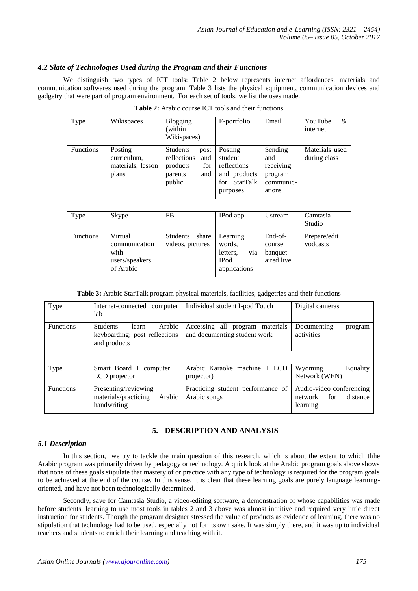## *4.2 Slate of Technologies Used during the Program and their Functions*

We distinguish two types of ICT tools: Table 2 below represents internet affordances, materials and communication softwares used during the program. Table 3 lists the physical equipment, communication devices and gadgetry that were part of program environment. For each set of tools, we list the uses made.

| Type             | Wikispaces                                                      | <b>Blogging</b><br>(within<br>Wikispaces)                                             | E-portfolio                                                                             | Email                                                         | YouTube<br>&<br>internet       |
|------------------|-----------------------------------------------------------------|---------------------------------------------------------------------------------------|-----------------------------------------------------------------------------------------|---------------------------------------------------------------|--------------------------------|
| <b>Functions</b> | Posting<br>curriculum,<br>materials, lesson<br>plans            | Students<br>post<br>reflections<br>and<br>products<br>for<br>parents<br>and<br>public | Posting<br>student<br>reflections<br>and products<br><b>StarTalk</b><br>for<br>purposes | Sending<br>and<br>receiving<br>program<br>communic-<br>ations | Materials used<br>during class |
|                  |                                                                 |                                                                                       |                                                                                         |                                                               |                                |
| Type             | Skype                                                           | <b>FB</b>                                                                             | IPod app                                                                                | Ustream                                                       | Camtasia<br>Studio             |
| <b>Functions</b> | Virtual<br>communication<br>with<br>users/speakers<br>of Arabic | <b>Students</b><br>share<br>videos, pictures                                          | Learning<br>words.<br>via<br>letters,<br><b>IPod</b><br>applications                    | End-of-<br>course<br>banquet<br>aired live                    | Prepare/edit<br>vodcasts       |

| <b>Table 2:</b> Arabic course ICT tools and their functions |  |  |
|-------------------------------------------------------------|--|--|
|-------------------------------------------------------------|--|--|

**Table 3:** Arabic StarTalk program physical materials, facilities, gadgetries and their functions

| Type             | Internet-connected computer<br>lab                                                  | Individual student I-pod Touch                                     | Digital cameras                                                    |
|------------------|-------------------------------------------------------------------------------------|--------------------------------------------------------------------|--------------------------------------------------------------------|
| <b>Functions</b> | Arabic<br><b>Students</b><br>learn<br>keyboarding; post reflections<br>and products | Accessing all<br>program materials<br>and documenting student work | Documenting<br>program<br>activities                               |
|                  |                                                                                     |                                                                    |                                                                    |
| Type             | Smart Board + computer +<br>LCD projector                                           | Arabic Karaoke machine + LCD<br>projector)                         | Wyoming<br>Equality<br>Network (WEN)                               |
| <b>Functions</b> | Presenting/reviewing<br>materials/practicing<br>Arabic<br>handwriting               | Practicing student performance of<br>Arabic songs                  | Audio-video conferencing<br>distance<br>network<br>for<br>learning |

# **5. DESCRIPTION AND ANALYSIS**

## *5.1 Description*

In this section, we try to tackle the main question of this research, which is about the extent to which thhe Arabic program was primarily driven by pedagogy or technology. A quick look at the Arabic program goals above shows that none of these goals stipulate that mastery of or practice with any type of technology is required for the program goals to be achieved at the end of the course. In this sense, it is clear that these learning goals are purely language learningoriented, and have not been technologically determined.

Secondly, save for Camtasia Studio, a video-editing software, a demonstration of whose capabilities was made before students, learning to use most tools in tables 2 and 3 above was almost intuitive and required very little direct instruction for students. Though the program designer stressed the value of products as evidence of learning, there was no stipulation that technology had to be used, especially not for its own sake. It was simply there, and it was up to individual teachers and students to enrich their learning and teaching with it.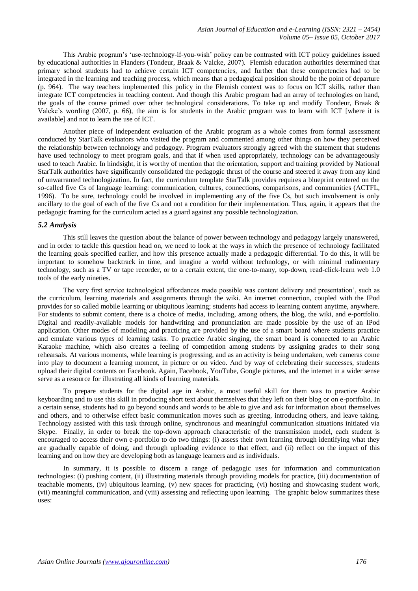This Arabic program's 'use-technology-if-you-wish' policy can be contrasted with ICT policy guidelines issued by educational authorities in Flanders (Tondeur, Braak & Valcke, 2007). Flemish education authorities determined that primary school students had to achieve certain ICT competencies, and further that these competencies had to be integrated in the learning and teaching process, which means that a pedagogical position should be the point of departure (p. 964). The way teachers implemented this policy in the Flemish context was to focus on ICT skills, rather than integrate ICT competencies in teaching content. And though this Arabic program had an array of technologies on hand, the goals of the course primed over other technological considerations. To take up and modify Tondeur, Braak & Valcke's wording (2007, p. 66), the aim is for students in the Arabic program was to learn with ICT [where it is available] and not to learn the use of ICT.

Another piece of independent evaluation of the Arabic program as a whole comes from formal assessment conducted by StarTalk evaluators who visited the program and commented among other things on how they perceived the relationship between technology and pedagogy. Program evaluators strongly agreed with the statement that students have used technology to meet program goals, and that if when used appropriately, technology can be advantageously used to teach Arabic. In hindsight, it is worthy of mention that the orientation, support and training provided by National StarTalk authorities have significantly consolidated the pedagogic thrust of the course and steered it away from any kind of unwarranted technologization. In fact, the curriculum template StarTalk provides requires a blueprint centered on the so-called five Cs of language learning: communication, cultures, connections, comparisons, and communities (ACTFL, 1996). To be sure, technology could be involved in implementing any of the five Cs, but such involvement is only ancillary to the goal of each of the five Cs and not a condition for their implementation. Thus, again, it appears that the pedagogic framing for the curriculum acted as a guard against any possible technologization.

#### *5.2 Analysis*

This still leaves the question about the balance of power between technology and pedagogy largely unanswered, and in order to tackle this question head on, we need to look at the ways in which the presence of technology facilitated the learning goals specified earlier, and how this presence actually made a pedagogic differential. To do this, it will be important to somehow backtrack in time, and imagine a world without technology, or with minimal rudimentary technology, such as a TV or tape recorder, or to a certain extent, the one-to-many, top-down, read-click-learn web 1.0 tools of the early nineties.

The very first service technological affordances made possible was content delivery and presentation', such as the curriculum, learning materials and assignments through the wiki. An internet connection, coupled with the IPod provides for so called mobile learning or ubiquitous learning; students had access to learning content anytime, anywhere. For students to submit content, there is a choice of media, including, among others, the blog, the wiki, and e-portfolio. Digital and readily-available models for handwriting and pronunciation are made possible by the use of an IPod application. Other modes of modeling and practicing are provided by the use of a smart board where students practice and emulate various types of learning tasks. To practice Arabic singing, the smart board is connected to an Arabic Karaoke machine, which also creates a feeling of competition among students by assigning grades to their song rehearsals. At various moments, while learning is progressing, and as an activity is being undertaken, web cameras come into play to document a learning moment, in picture or on video. And by way of celebrating their successes, students upload their digital contents on Facebook. Again, Facebook, YouTube, Google pictures, and the internet in a wider sense serve as a resource for illustrating all kinds of learning materials.

To prepare students for the digital age in Arabic, a most useful skill for them was to practice Arabic keyboarding and to use this skill in producing short text about themselves that they left on their blog or on e-portfolio. In a certain sense, students had to go beyond sounds and words to be able to give and ask for information about themselves and others, and to otherwise effect basic communication moves such as greeting, introducing others, and leave taking. Technology assisted with this task through online, synchronous and meaningful communication situations initiated via Skype. Finally, in order to break the top-down approach characteristic of the transmission model, each student is encouraged to access their own e-portfolio to do two things: (i) assess their own learning through identifying what they are gradually capable of doing, and through uploading evidence to that effect, and (ii) reflect on the impact of this learning and on how they are developing both as language learners and as individuals.

In summary, it is possible to discern a range of pedagogic uses for information and communication technologies: (i) pushing content, (ii) illustrating materials through providing models for practice, (iii) documentation of teachable moments, (iv) ubiquitous learning, (v) new spaces for practicing, (vi) hosting and showcasing student work, (vii) meaningful communication, and (viii) assessing and reflecting upon learning. The graphic below summarizes these uses: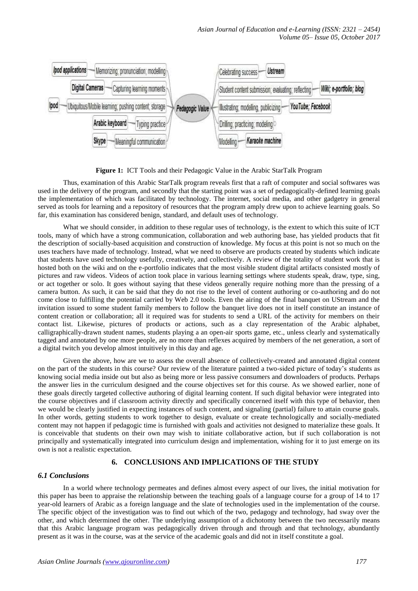

**Figure 1:** ICT Tools and their Pedagogic Value in the Arabic StarTalk Program

Thus, examination of this Arabic StarTalk program reveals first that a raft of computer and social softwares was used in the delivery of the program, and secondly that the starting point was a set of pedagogically-defined learning goals the implementation of which was facilitated by technology. The internet, social media, and other gadgetry in general served as tools for learning and a repository of resources that the program amply drew upon to achieve learning goals. So far, this examination has considered benign, standard, and default uses of technology.

What we should consider, in addition to these regular uses of technology, is the extent to which this suite of ICT tools, many of which have a strong communication, collaboration and web authoring base, has yielded products that fit the description of socially-based acquisition and construction of knowledge. My focus at this point is not so much on the uses teachers have made of technology. Instead, what we need to observe are products created by students which indicate that students have used technology usefully, creatively, and collectively. A review of the totality of student work that is hosted both on the wiki and on the e-portfolio indicates that the most visible student digital artifacts consisted mostly of pictures and raw videos. Videos of action took place in various learning settings where students speak, draw, type, sing, or act together or solo. It goes without saying that these videos generally require nothing more than the pressing of a camera button. As such, it can be said that they do not rise to the level of content authoring or co-authoring and do not come close to fulfilling the potential carried by Web 2.0 tools. Even the airing of the final banquet on UStream and the invitation issued to some student family members to follow the banquet live does not in itself constitute an instance of content creation or collaboration; all it required was for students to send a URL of the activity for members on their contact list. Likewise, pictures of products or actions, such as a clay representation of the Arabic alphabet, calligraphically-drawn student names, students playing a an open-air sports game, etc., unless clearly and systematically tagged and annotated by one more people, are no more than reflexes acquired by members of the net generation, a sort of a digital twitch you develop almost intuitively in this day and age.

Given the above, how are we to assess the overall absence of collectively-created and annotated digital content on the part of the students in this course? Our review of the literature painted a two-sided picture of today's students as knowing social media inside out but also as being more or less passive consumers and downloaders of products. Perhaps the answer lies in the curriculum designed and the course objectives set for this course. As we showed earlier, none of these goals directly targeted collective authoring of digital learning content. If such digital behavior were integrated into the course objectives and if classroom activity directly and specifically concerned itself with this type of behavior, then we would be clearly justified in expecting instances of such content, and signaling (partial) failure to attain course goals. In other words, getting students to work together to design, evaluate or create technologically and socially-mediated content may not happen if pedagogic time is furnished with goals and activities not designed to materialize these goals. It is conceivable that students on their own may wish to initiate collaborative action, but if such collaboration is not principally and systematically integrated into curriculum design and implementation, wishing for it to just emerge on its own is not a realistic expectation.

#### **6. CONCLUSIONS AND IMPLICATIONS OF THE STUDY**

#### *6.1 Conclusions*

In a world where technology permeates and defines almost every aspect of our lives, the initial motivation for this paper has been to appraise the relationship between the teaching goals of a language course for a group of 14 to 17 year-old learners of Arabic as a foreign language and the slate of technologies used in the implementation of the course. The specific object of the investigation was to find out which of the two, pedagogy and technology, had sway over the other, and which determined the other. The underlying assumption of a dichotomy between the two necessarily means that this Arabic language program was pedagogically driven through and through and that technology, abundantly present as it was in the course, was at the service of the academic goals and did not in itself constitute a goal.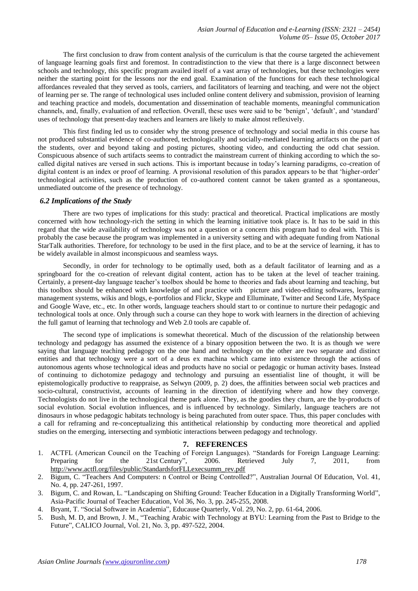The first conclusion to draw from content analysis of the curriculum is that the course targeted the achievement of language learning goals first and foremost. In contradistinction to the view that there is a large disconnect between schools and technology, this specific program availed itself of a vast array of technologies, but these technologies were neither the starting point for the lessons nor the end goal. Examination of the functions for each these technological affordances revealed that they served as tools, carriers, and facilitators of learning and teaching, and were not the object of learning per se. The range of technological uses included online content delivery and submission, provision of learning and teaching practice and models, documentation and dissemination of teachable moments, meaningful communication channels, and, finally, evaluation of and reflection. Overall, these uses were said to be 'benign', 'default', and 'standard' uses of technology that present-day teachers and learners are likely to make almost reflexively.

This first finding led us to consider why the strong presence of technology and social media in this course has not produced substantial evidence of co-authored, technologically and socially-mediated learning artifacts on the part of the students, over and beyond taking and posting pictures, shooting video, and conducting the odd chat session. Conspicuous absence of such artifacts seems to contradict the mainstream current of thinking according to which the socalled digital natives are versed in such actions. This is important because in today's learning paradigms, co-creation of digital content is an index or proof of learning. A provisional resolution of this paradox appears to be that 'higher-order' technological activities, such as the production of co-authored content cannot be taken granted as a spontaneous, unmediated outcome of the presence of technology.

#### *6.2 Implications of the Study*

There are two types of implications for this study: practical and theoretical. Practical implications are mostly concerned with how technology-rich the setting in which the learning initiative took place is. It has to be said in this regard that the wide availability of technology was not a question or a concern this program had to deal with. This is probably the case because the program was implemented in a university setting and with adequate funding from National StarTalk authorities. Therefore, for technology to be used in the first place, and to be at the service of learning, it has to be widely available in almost inconspicuous and seamless ways.

Secondly, in order for technology to be optimally used, both as a default facilitator of learning and as a springboard for the co-creation of relevant digital content, action has to be taken at the level of teacher training. Certainly, a present-day language teacher's toolbox should be home to theories and fads about learning and teaching, but this toolbox should be enhanced with knowledge of and practice with picture and video-editing softwares, learning management systems, wikis and blogs, e-portfolios and Flickr, Skype and Elluminate, Twitter and Second Life, MySpace and Google Wave, etc., etc. In other words, language teachers should start to or continue to nurture their pedagogic and technological tools at once. Only through such a course can they hope to work with learners in the direction of achieving the full gamut of learning that technology and Web 2.0 tools are capable of.

The second type of implications is somewhat theoretical. Much of the discussion of the relationship between technology and pedagogy has assumed the existence of a binary opposition between the two. It is as though we were saying that language teaching pedagogy on the one hand and technology on the other are two separate and distinct entities and that technology were a sort of a deus ex machina which came into existence through the actions of autonomous agents whose technological ideas and products have no social or pedagogic or human activity bases. Instead of continuing to dichotomize pedagogy and technology and pursuing an essentialist line of thought, it will be epistemologically productive to reappraise, as Selwyn (2009, p. 2) does, the affinities between social web practices and socio-cultural, constructivist, accounts of learning in the direction of identifying where and how they converge. Technologists do not live in the technological theme park alone. They, as the goodies they churn, are the by-products of social evolution. Social evolution influences, and is influenced by technology. Similarly, language teachers are not dinosaurs in whose pedagogic habitats technology is being parachuted from outer space. Thus, this paper concludes with a call for reframing and re-conceptualizing this antithetical relationship by conducting more theoretical and applied studies on the emerging, intersecting and symbiotic interactions between pedagogy and technology.

#### **7. REFERENCES**

- 1. ACTFL (American Council on the Teaching of Foreign Languages). "Standards for Foreign Language Learning: Preparing for the 21st Century", 2006. Retrieved July 7, 2011, from [http://www.actfl.org/files/public/StandardsforFLLexecsumm\\_rev.pdf](http://www.actfl.org/files/public/StandardsforFLLexecsumm_rev.pdf)
- 2. Bigum, C. "Teachers And Computers: n Control or Being Controlled?", Australian Journal Of Education, Vol. 41, No. 4, pp. 247-261, 1997.
- 3. Bigum, C. and Rowan, L. "Landscaping on Shifting Ground: Teacher Education in a Digitally Transforming World", Asia-Pacific Journal of Teacher Education, Vol 36, No. 3, pp. 245-255, 2008.
- 4. Bryant, T. "Social Software in Academia", Educause Quarterly, Vol. 29, No. 2, pp. 61-64, 2006.
- 5. Bush, M. D, and Brown, J. M., "Teaching Arabic with Technology at BYU: Learning from the Past to Bridge to the Future", CALICO Journal, Vol. 21, No. 3, pp. 497-522, 2004.